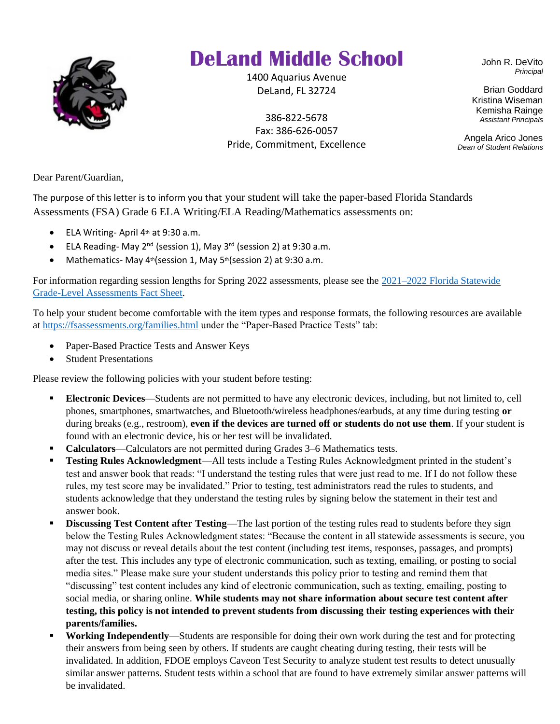

## **DeLand Middle School**

1400 Aquarius Avenue DeLand, FL 32724

386-822-5678 Fax: 386-626-0057 Pride, Commitment, Excellence John R. DeVito *Principal*

Brian Goddard Kristina Wiseman Kemisha Rainge *Assistant Principals*

Angela Arico Jones *Dean of Student Relations*

Dear Parent/Guardian,

The purpose of this letter is to inform you that your student will take the paper-based Florida Standards Assessments (FSA) Grade 6 ELA Writing/ELA Reading/Mathematics assessments on:

- ELA Writing-April  $4<sup>th</sup>$  at 9:30 a.m.
- ELA Reading-May  $2^{nd}$  (session 1), May  $3^{rd}$  (session 2) at 9:30 a.m.
- Mathematics- May  $4th$  (session 1, May  $5th$  (session 2) at 9:30 a.m.

For information regarding session lengths for Spring 2022 assessments, please see the [2021–2022 Florida Statewide](https://fsassessments.org/-/media/project/client-portals/florida/pdf/fact-sheets/2021-22-florida-grade-level-assessments-fact-sheet_final_508.pdf)  [Grade-Level Assessments Fact Sheet.](https://fsassessments.org/-/media/project/client-portals/florida/pdf/fact-sheets/2021-22-florida-grade-level-assessments-fact-sheet_final_508.pdf)

To help your student become comfortable with the item types and response formats, the following resources are available a[t https://fsassessments.org/families.html](https://fsassessments.org/families.html) under the "Paper-Based Practice Tests" tab:

- Paper-Based Practice Tests and Answer Keys
- Student Presentations

Please review the following policies with your student before testing:

- **Electronic Devices—Students are not permitted to have any electronic devices, including, but not limited to, cell** phones, smartphones, smartwatches, and Bluetooth/wireless headphones/earbuds, at any time during testing **or** during breaks (e.g., restroom), **even if the devices are turned off or students do not use them**. If your student is found with an electronic device, his or her test will be invalidated.
- **Calculators**—Calculators are not permitted during Grades 3–6 Mathematics tests.
- **Testing Rules Acknowledgment**—All tests include a Testing Rules Acknowledgment printed in the student's test and answer book that reads: "I understand the testing rules that were just read to me. If I do not follow these rules, my test score may be invalidated." Prior to testing, test administrators read the rules to students, and students acknowledge that they understand the testing rules by signing below the statement in their test and answer book.
- **EXECUTE:** Discussing Test Content after Testing—The last portion of the testing rules read to students before they sign below the Testing Rules Acknowledgment states: "Because the content in all statewide assessments is secure, you may not discuss or reveal details about the test content (including test items, responses, passages, and prompts) after the test. This includes any type of electronic communication, such as texting, emailing, or posting to social media sites." Please make sure your student understands this policy prior to testing and remind them that "discussing" test content includes any kind of electronic communication, such as texting, emailing, posting to social media, or sharing online. **While students may not share information about secure test content after testing, this policy is not intended to prevent students from discussing their testing experiences with their parents/families.**
- **Working Independently—Students are responsible for doing their own work during the test and for protecting** their answers from being seen by others. If students are caught cheating during testing, their tests will be invalidated. In addition, FDOE employs Caveon Test Security to analyze student test results to detect unusually similar answer patterns. Student tests within a school that are found to have extremely similar answer patterns will be invalidated.